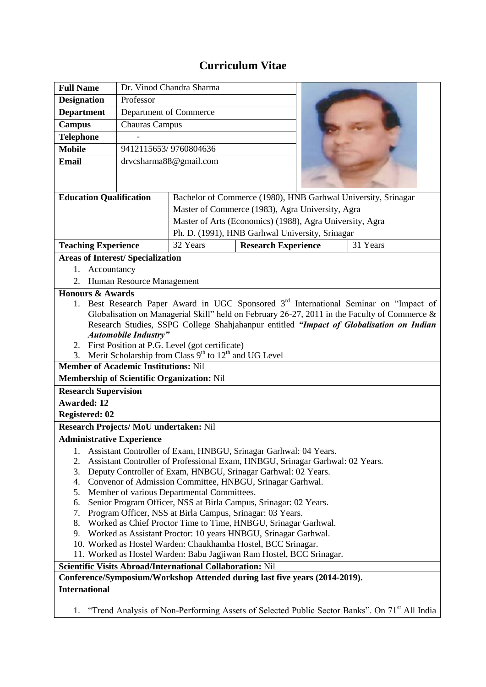## **Curriculum Vitae**

| <b>Full Name</b>                                                                                                                         | Dr. Vinod Chandra Sharma                                       |                                                                            |                            |  |          |  |
|------------------------------------------------------------------------------------------------------------------------------------------|----------------------------------------------------------------|----------------------------------------------------------------------------|----------------------------|--|----------|--|
| <b>Designation</b>                                                                                                                       | Professor                                                      |                                                                            |                            |  |          |  |
| <b>Department</b>                                                                                                                        | Department of Commerce                                         |                                                                            |                            |  |          |  |
| <b>Campus</b>                                                                                                                            | <b>Chauras Campus</b>                                          |                                                                            |                            |  |          |  |
| <b>Telephone</b>                                                                                                                         |                                                                |                                                                            |                            |  |          |  |
| <b>Mobile</b>                                                                                                                            | 9412115653/9760804636                                          |                                                                            |                            |  |          |  |
| <b>Email</b>                                                                                                                             | drvcsharma88@gmail.com                                         |                                                                            |                            |  |          |  |
|                                                                                                                                          |                                                                |                                                                            |                            |  |          |  |
|                                                                                                                                          |                                                                |                                                                            |                            |  |          |  |
| <b>Education Qualification</b>                                                                                                           |                                                                | Bachelor of Commerce (1980), HNB Garhwal University, Srinagar              |                            |  |          |  |
|                                                                                                                                          |                                                                | Master of Commerce (1983), Agra University, Agra                           |                            |  |          |  |
|                                                                                                                                          |                                                                | Master of Arts (Economics) (1988), Agra University, Agra                   |                            |  |          |  |
|                                                                                                                                          |                                                                | Ph. D. (1991), HNB Garhwal University, Srinagar                            |                            |  |          |  |
| <b>Teaching Experience</b>                                                                                                               |                                                                | 32 Years                                                                   | <b>Research Experience</b> |  | 31 Years |  |
| <b>Areas of Interest/Specialization</b>                                                                                                  |                                                                |                                                                            |                            |  |          |  |
| Accountancy<br>1.                                                                                                                        |                                                                |                                                                            |                            |  |          |  |
| 2. Human Resource Management                                                                                                             |                                                                |                                                                            |                            |  |          |  |
| <b>Honours &amp; Awards</b>                                                                                                              |                                                                |                                                                            |                            |  |          |  |
| Best Research Paper Award in UGC Sponsored 3 <sup>rd</sup> International Seminar on "Impact of<br>1.                                     |                                                                |                                                                            |                            |  |          |  |
| Globalisation on Managerial Skill" held on February 26-27, 2011 in the Faculty of Commerce &                                             |                                                                |                                                                            |                            |  |          |  |
| Research Studies, SSPG College Shahjahanpur entitled "Impact of Globalisation on Indian                                                  |                                                                |                                                                            |                            |  |          |  |
| <b>Automobile Industry"</b>                                                                                                              |                                                                |                                                                            |                            |  |          |  |
| 2. First Position at P.G. Level (got certificate)<br>Merit Scholarship from Class 9 <sup>th</sup> to 12 <sup>th</sup> and UG Level<br>3. |                                                                |                                                                            |                            |  |          |  |
| <b>Member of Academic Institutions: Nil</b>                                                                                              |                                                                |                                                                            |                            |  |          |  |
| Membership of Scientific Organization: Nil                                                                                               |                                                                |                                                                            |                            |  |          |  |
| <b>Research Supervision</b>                                                                                                              |                                                                |                                                                            |                            |  |          |  |
| <b>Awarded: 12</b>                                                                                                                       |                                                                |                                                                            |                            |  |          |  |
| <b>Registered: 02</b>                                                                                                                    |                                                                |                                                                            |                            |  |          |  |
| Research Projects/MoU undertaken: Nil                                                                                                    |                                                                |                                                                            |                            |  |          |  |
| <b>Administrative Experience</b>                                                                                                         |                                                                |                                                                            |                            |  |          |  |
| Assistant Controller of Exam, HNBGU, Srinagar Garhwal: 04 Years.<br>Ī.                                                                   |                                                                |                                                                            |                            |  |          |  |
| Assistant Controller of Professional Exam, HNBGU, Srinagar Garhwal: 02 Years.<br>2.                                                      |                                                                |                                                                            |                            |  |          |  |
| 3.<br>Deputy Controller of Exam, HNBGU, Srinagar Garhwal: 02 Years.                                                                      |                                                                |                                                                            |                            |  |          |  |
| Convenor of Admission Committee, HNBGU, Srinagar Garhwal.<br>4.                                                                          |                                                                |                                                                            |                            |  |          |  |
| 5.<br>Member of various Departmental Committees.                                                                                         |                                                                |                                                                            |                            |  |          |  |
| Senior Program Officer, NSS at Birla Campus, Srinagar: 02 Years.<br>6.                                                                   |                                                                |                                                                            |                            |  |          |  |
| Program Officer, NSS at Birla Campus, Srinagar: 03 Years.<br>7.                                                                          |                                                                |                                                                            |                            |  |          |  |
| 8.<br>Worked as Chief Proctor Time to Time, HNBGU, Srinagar Garhwal.                                                                     |                                                                |                                                                            |                            |  |          |  |
| 9.                                                                                                                                       | Worked as Assistant Proctor: 10 years HNBGU, Srinagar Garhwal. |                                                                            |                            |  |          |  |
| 10. Worked as Hostel Warden: Chaukhamba Hostel, BCC Srinagar.                                                                            |                                                                |                                                                            |                            |  |          |  |
| 11. Worked as Hostel Warden: Babu Jagjiwan Ram Hostel, BCC Srinagar.                                                                     |                                                                |                                                                            |                            |  |          |  |
|                                                                                                                                          |                                                                | <b>Scientific Visits Abroad/International Collaboration: Nil</b>           |                            |  |          |  |
|                                                                                                                                          |                                                                | Conference/Symposium/Workshop Attended during last five years (2014-2019). |                            |  |          |  |
| <b>International</b>                                                                                                                     |                                                                |                                                                            |                            |  |          |  |
|                                                                                                                                          |                                                                |                                                                            |                            |  |          |  |

1. "Trend Analysis of Non-Performing Assets of Selected Public Sector Banks". On 71<sup>st</sup> All India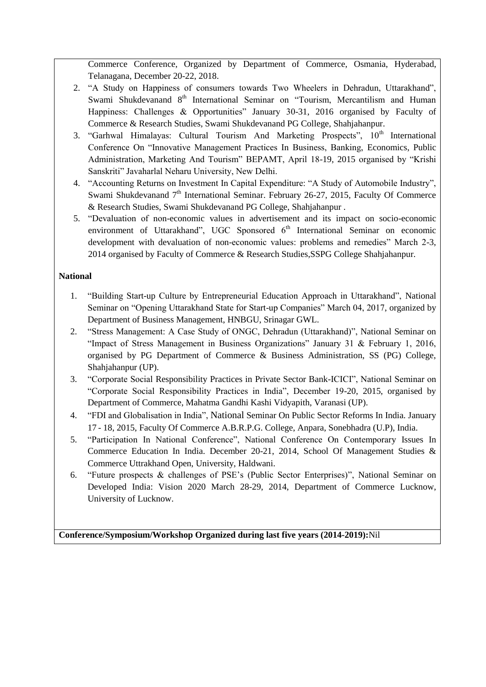Commerce Conference, Organized by Department of Commerce, Osmania, Hyderabad, Telanagana, December 20-22, 2018.

- 2. "A Study on Happiness of consumers towards Two Wheelers in Dehradun, Uttarakhand", Swami Shukdevanand 8<sup>th</sup> International Seminar on "Tourism, Mercantilism and Human Happiness: Challenges & Opportunities" January 30-31, 2016 organised by Faculty of Commerce & Research Studies, Swami Shukdevanand PG College, Shahjahanpur.
- 3. "Garhwal Himalayas: Cultural Tourism And Marketing Prospects",  $10<sup>th</sup>$  International Conference On "Innovative Management Practices In Business, Banking, Economics, Public Administration, Marketing And Tourism" BEPAMT, April 18-19, 2015 organised by "Krishi Sanskriti" Javaharlal Neharu University, New Delhi.
- 4. "Accounting Returns on Investment In Capital Expenditure: "A Study of Automobile Industry", Swami Shukdevanand  $7<sup>th</sup>$  International Seminar. February 26-27, 2015, Faculty Of Commerce & Research Studies, Swami Shukdevanand PG College, Shahjahanpur .
- 5. "Devaluation of non-economic values in advertisement and its impact on socio-economic environment of Uttarakhand", UGC Sponsored  $6<sup>th</sup>$  International Seminar on economic development with devaluation of non-economic values: problems and remedies" March 2-3, 2014 organised by Faculty of Commerce & Research Studies,SSPG College Shahjahanpur.

## **National**

- 1. "Building Start-up Culture by Entrepreneurial Education Approach in Uttarakhand", National Seminar on "Opening Uttarakhand State for Start-up Companies" March 04, 2017, organized by Department of Business Management, HNBGU, Srinagar GWL.
- 2. "Stress Management: A Case Study of ONGC, Dehradun (Uttarakhand)", National Seminar on "Impact of Stress Management in Business Organizations" January 31 & February 1, 2016, organised by PG Department of Commerce & Business Administration, SS (PG) College, Shahjahanpur (UP).
- 3. "Corporate Social Responsibility Practices in Private Sector Bank-ICICI", National Seminar on "Corporate Social Responsibility Practices in India", December 19-20, 2015, organised by Department of Commerce, Mahatma Gandhi Kashi Vidyapith, Varanasi (UP).
- 4. "FDI and Globalisation in India", National Seminar On Public Sector Reforms In India. January 17 - 18, 2015, Faculty Of Commerce A.B.R.P.G. College, Anpara, Sonebhadra (U.P), India.
- 5. "Participation In National Conference", National Conference On Contemporary Issues In Commerce Education In India. December 20-21, 2014, School Of Management Studies & Commerce Uttrakhand Open, University, Haldwani.
- 6. "Future prospects & challenges of PSE's (Public Sector Enterprises)", National Seminar on Developed India: Vision 2020 March 28-29, 2014, Department of Commerce Lucknow, University of Lucknow.

**Conference/Symposium/Workshop Organized during last five years (2014-2019):**Nil